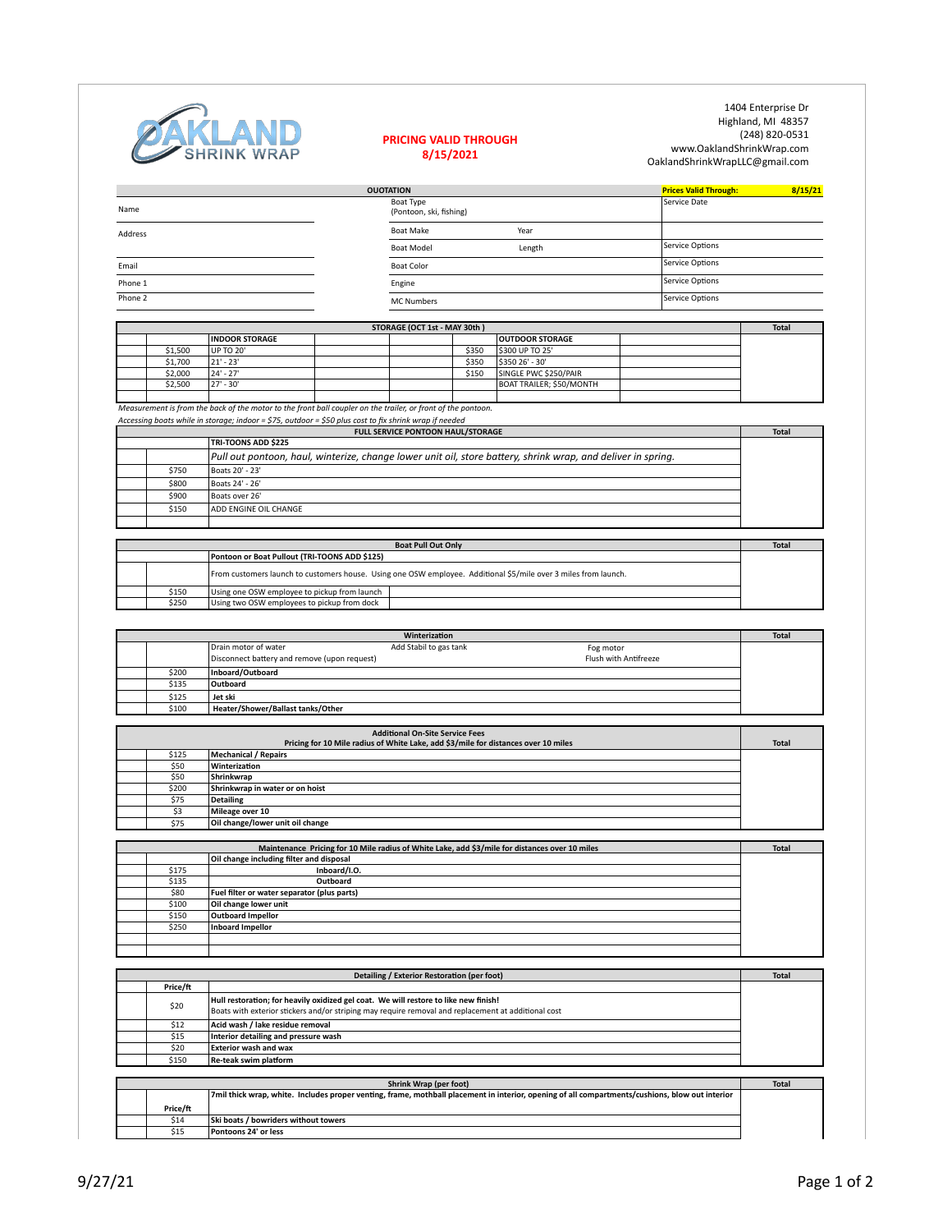|         |                       | STORAGE (OCT 1st - MAY 30th) |       |                          | <b>Total</b> |
|---------|-----------------------|------------------------------|-------|--------------------------|--------------|
|         | <b>INDOOR STORAGE</b> |                              |       | <b>OUTDOOR STORAGE</b>   |              |
| \$1,500 | UP TO 20'             |                              | \$350 | \$300 UP TO 25'          |              |
| \$1,700 | $ 21' - 23' $         |                              | \$350 | \$350 26' - 30'          |              |
| \$2,000 | 24' - 27'             |                              | \$150 | SINGLE PWC \$250/PAIR    |              |
| \$2,500 | $-30'$<br>l 27'       |                              |       | BOAT TRAILER; \$50/MONTH |              |
|         |                       |                              |       |                          |              |

*Measurement is from the back of the motor to the front ball coupler on the trailer, or front of the pontoon.* 

*Accessing boats while in storage; indoor* = \$75, outdoor = \$50 plus cost to fix shrink wrap if needed

|       | <b>FULL SERVICE PONTOON HAUL/STORAGE</b>                                                                     | <b>Total</b> |
|-------|--------------------------------------------------------------------------------------------------------------|--------------|
|       | <b>TRI-TOONS ADD \$225</b>                                                                                   |              |
|       | Pull out pontoon, haul, winterize, change lower unit oil, store battery, shrink wrap, and deliver in spring. |              |
| \$750 | Boats 20' - 23'                                                                                              |              |
| \$800 | Boats 24' - 26'                                                                                              |              |
| \$900 | Boats over 26'                                                                                               |              |
| \$150 | <b>ADD ENGINE OIL CHANGE</b>                                                                                 |              |
|       |                                                                                                              |              |

|       | <b>Boat Pull Out Only</b>                                                                                       |  | <b>Total</b> |
|-------|-----------------------------------------------------------------------------------------------------------------|--|--------------|
|       | <b>Pontoon or Boat Pullout (TRI-TOONS ADD \$125)</b>                                                            |  |              |
|       | From customers launch to customers house. Using one OSW employee. Additional \$5/mile over 3 miles from launch. |  |              |
| \$150 | Using one OSW employee to pickup from launch                                                                    |  |              |
| \$250 | Using two OSW employees to pickup from dock                                                                     |  |              |

|       |                                              | Winterization          |                       | <b>Total</b> |
|-------|----------------------------------------------|------------------------|-----------------------|--------------|
|       | Drain motor of water                         | Add Stabil to gas tank | Fog motor             |              |
|       | Disconnect battery and remove (upon request) |                        | Flush with Antifreeze |              |
| \$200 | Inboard/Outboard                             |                        |                       |              |
| \$135 | Outboard                                     |                        |                       |              |
| \$125 | Jet ski                                      |                        |                       |              |
| \$100 | Heater/Shower/Ballast tanks/Other            |                        |                       |              |

1404 Enterprise Dr Highland, MI 48357 (248) 820-0531 www.OaklandShrinkWrap.com OaklandShrinkWrapLLC@gmail.com

|                | <b>OUOTATION</b>                     |        | <b>Prices Valid Through:</b> | 8/15/21 |
|----------------|--------------------------------------|--------|------------------------------|---------|
| Name           | Boat Type<br>(Pontoon, ski, fishing) |        | Service Date                 |         |
| <b>Address</b> | <b>Boat Make</b>                     | Year   |                              |         |
|                | <b>Boat Model</b>                    | Length | Service Options              |         |
| Email          | <b>Boat Color</b>                    |        | Service Options              |         |
| Phone 1        | Engine                               |        | Service Options              |         |
| Phone 2        | <b>MC Numbers</b>                    |        | Service Options              |         |



## **PRICING VALID THROUGH 8/15/2021**

|       | <b>Additional On-Site Service Fees</b><br>Pricing for 10 Mile radius of White Lake, add \$3/mile for distances over 10 miles | <b>Total</b> |
|-------|------------------------------------------------------------------------------------------------------------------------------|--------------|
|       |                                                                                                                              |              |
| \$125 | Mechanical / Repairs                                                                                                         |              |
| \$50  | Winterization                                                                                                                |              |
| \$50  | Shrinkwrap                                                                                                                   |              |
| \$200 | Shrinkwrap in water or on hoist                                                                                              |              |
| \$75  | Detailing                                                                                                                    |              |
| \$3   | Mileage over 10                                                                                                              |              |
| \$75  | Oil change/lower unit oil change                                                                                             |              |

|       | Maintenance Pricing for 10 Mile radius of White Lake, add \$3/mile for distances over 10 miles | <b>Total</b> |
|-------|------------------------------------------------------------------------------------------------|--------------|
|       | Oil change including filter and disposal                                                       |              |
| \$175 | Inboard/I.O.                                                                                   |              |
| \$135 | Outboard                                                                                       |              |
| \$80  | Fuel filter or water separator (plus parts)                                                    |              |
| \$100 | Oil change lower unit                                                                          |              |
| \$150 | <b>Outboard Impellor</b>                                                                       |              |
| \$250 | Inboard Impellor                                                                               |              |
|       |                                                                                                |              |
|       |                                                                                                |              |

|          | Detailing / Exterior Restoration (per foot)                                                                                                                                                 | <b>Total</b> |
|----------|---------------------------------------------------------------------------------------------------------------------------------------------------------------------------------------------|--------------|
| Price/ft |                                                                                                                                                                                             |              |
| \$20     | Hull restoration; for heavily oxidized gel coat. We will restore to like new finish!<br>Boats with exterior stickers and/or striping may require removal and replacement at additional cost |              |
| \$12     | Acid wash / lake residue removal                                                                                                                                                            |              |
| \$15     | Interior detailing and pressure wash                                                                                                                                                        |              |
| \$20     | <b>Exterior wash and wax</b>                                                                                                                                                                |              |
| \$150    | <b>Re-teak swim platform</b>                                                                                                                                                                |              |

|          | <b>Shrink Wrap (per foot)</b>                                                                                                                   | <b>Total</b> |
|----------|-------------------------------------------------------------------------------------------------------------------------------------------------|--------------|
|          | 7mil thick wrap, white. Includes proper venting, frame, mothball placement in interior, opening of all compartments/cushions, blow out interior |              |
| Price/ft |                                                                                                                                                 |              |
| \$14     | <b>Ski boats / bowriders without towers</b>                                                                                                     |              |
| \$15     | <b>Pontoons 24' or less</b>                                                                                                                     |              |